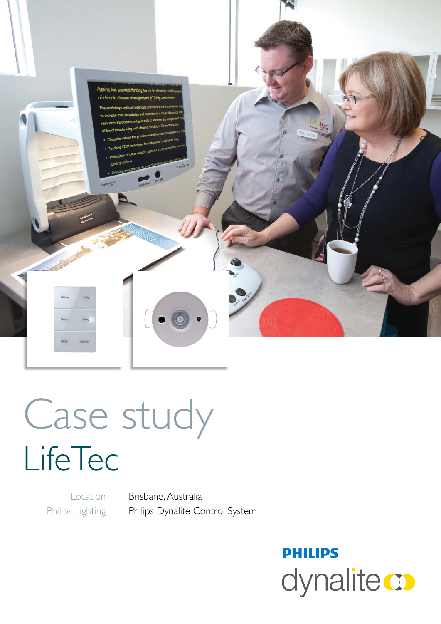

Case study **LifeTec** 

Location Philips Lighting

Brisbane, Australia Philips Dynalite Control System

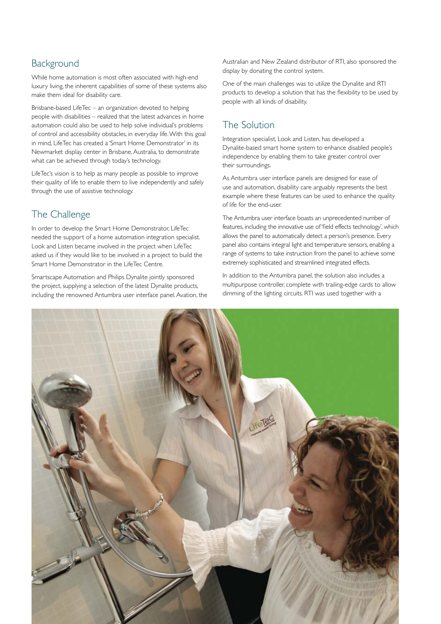## **Background**

While home automation is most often associated with high-end luxury living, the inherent capabilities of some of these systems also make them ideal for disability care.

Brisbane-based LifeTec – an organization devoted to helping people with disabilities – realized that the latest advances in home automation could also be used to help solve individual's problems of control and accessibility obstacles, in everyday life. With this goal in mind, LifeTec has created a 'Smart Home Demonstrator' in its Newmarket display center in Brisbane, Australia, to demonstrate what can be achieved through today's technology.

LifeTec's vision is to help as many people as possible to improve their quality of life to enable them to live independently and safely through the use of assistive technology.

## The Challenge

In order to develop the Smart Home Demonstrator, LifeTec needed the support of a home automation integration specialist. Look and Listen became involved in the project when LifeTec asked us if they would like to be involved in a project to build the Smart Home Demonstrator in the LifeTec Centre.

Smartscape Automation and Philips Dynalite jointly sponsored the project, supplying a selection of the latest Dynalite products, including the renowned Antumbra user interface panel. Avation, the Australian and New Zealand distributor of RTI, also sponsored the display by donating the control system.

One of the main challenges was to utilize the Dynalite and RTI products to develop a solution that has the flexibility to be used by people with all kinds of disability.

# The Solution

Integration specialist, Look and Listen, has developed a Dynalite-based smart home system to enhance disabled people's independence by enabling them to take greater control over their surroundings.

As Antumbra user interface panels are designed for ease of use and automation, disability care arguably represents the best example where these features can be used to enhance the quality of life for the end-user.

The Antumbra user interface boasts an unprecedented number of features, including the innovative use of 'field effects technology', which allows the panel to automatically detect a person's presence. Every panel also contains integral light and temperature sensors, enabling a range of systems to take instruction from the panel to achieve some extremely sophisticated and streamlined integrated effects.

In addition to the Antumbra panel, the solution also includes a multipurpose controller, complete with trailing-edge cards to allow dimming of the lighting circuits. RTI was used together with a

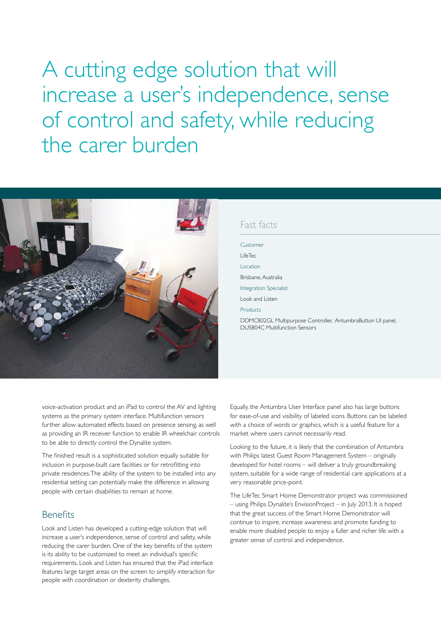A cutting edge solution that will increase a user's independence, sense of control and safety, while reducing the carer burden



#### Fast facts

Customer LifeTec Location Brisbane, Australia Integration Specialist Look and Listen Products DDMC802GL Multipurpose Controller, AntumbraButton UI panel, DUS804C Multifunction Sensors

voice-activation product and an iPad to control the AV and lighting systems as the primary system interface. Multifunction sensors further allow automated effects based on presence sensing, as well as providing an IR receiver function to enable IR wheelchair controls to be able to directly control the Dynalite system.

The finished result is a sophisticated solution equally suitable for inclusion in purpose-built care facilities or for retrofitting into private residences. The ability of the system to be installed into any residential setting can potentially make the difference in allowing people with certain disabilities to remain at home.

### Benefits

Look and Listen has developed a cutting-edge solution that will increase a user's independence, sense of control and safety, while reducing the carer burden. One of the key benefits of the system is its ability to be customized to meet an individual's specific requirements. Look and Listen has ensured that the iPad interface features large target areas on the screen to simplify interaction for people with coordination or dexterity challenges.

Equally, the Antumbra User Interface panel also has large buttons for ease-of-use and visibility of labeled icons. Buttons can be labeled with a choice of words or graphics, which is a useful feature for a market where users cannot necessarily read.

Looking to the future, it is likely that the combination of Antumbra with Philips latest Guest Room Management System – originally developed for hotel rooms – will deliver a truly groundbreaking system, suitable for a wide range of residential care applications at a very reasonable price-point.

The LifeTec Smart Home Demonstrator project was commissioned – using Philips Dynalite's EnvisionProject – in July 2013. It is hoped that the great success of the Smart Home Demonstrator will continue to inspire, increase awareness and promote funding to enable more disabled people to enjoy a fuller and richer life with a greater sense of control and independence.